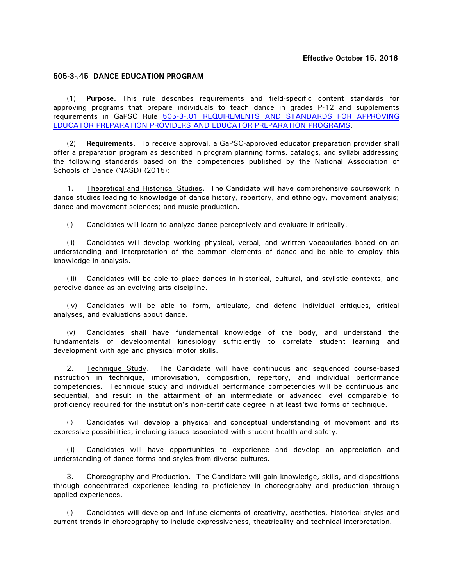## **505-3-.45 DANCE EDUCATION PROGRAM**

(1) **Purpose.** This rule describes requirements and field-specific content standards for approving programs that prepare individuals to teach dance in grades P-12 and supplements requirements in GaPSC Rule [505-3-.01 REQUIREMENTS AND STANDARDS FOR APPROVING](http://www.gapsc.com/Rules/Current/EducatorPreparation/505-3-.01.pdf?dt=636118667119890718) EDUCATOR PREPARATION PROVIDERS [AND EDUCATOR PREPARATION PROGRAMS.](http://www.gapsc.com/Rules/Current/EducatorPreparation/505-3-.01.pdf?dt=636118667119890718)

(2) **Requirements.** To receive approval, a GaPSC-approved educator preparation provider shall offer a preparation program as described in program planning forms, catalogs, and syllabi addressing the following standards based on the competencies published by the National Association of Schools of Dance (NASD) (2015):

1. Theoretical and Historical Studies. The Candidate will have comprehensive coursework in dance studies leading to knowledge of dance history, repertory, and ethnology, movement analysis; dance and movement sciences; and music production.

(i) Candidates will learn to analyze dance perceptively and evaluate it critically.

(ii) Candidates will develop working physical, verbal, and written vocabularies based on an understanding and interpretation of the common elements of dance and be able to employ this knowledge in analysis.

(iii) Candidates will be able to place dances in historical, cultural, and stylistic contexts, and perceive dance as an evolving arts discipline.

(iv) Candidates will be able to form, articulate, and defend individual critiques, critical analyses, and evaluations about dance.

(v) Candidates shall have fundamental knowledge of the body, and understand the fundamentals of developmental kinesiology sufficiently to correlate student learning and development with age and physical motor skills.

2. Technique Study. The Candidate will have continuous and sequenced course-based instruction in technique, improvisation, composition, repertory, and individual performance competencies. Technique study and individual performance competencies will be continuous and sequential, and result in the attainment of an intermediate or advanced level comparable to proficiency required for the institution's non-certificate degree in at least two forms of technique.

(i) Candidates will develop a physical and conceptual understanding of movement and its expressive possibilities, including issues associated with student health and safety.

(ii) Candidates will have opportunities to experience and develop an appreciation and understanding of dance forms and styles from diverse cultures.

3. Choreography and Production. The Candidate will gain knowledge, skills, and dispositions through concentrated experience leading to proficiency in choreography and production through applied experiences.

(i) Candidates will develop and infuse elements of creativity, aesthetics, historical styles and current trends in choreography to include expressiveness, theatricality and technical interpretation.